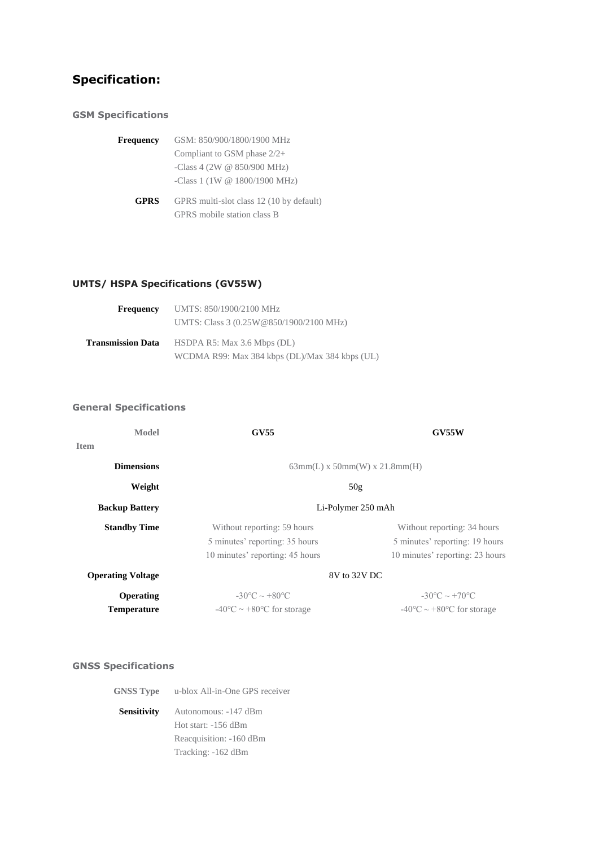# **Specification:**

### **GSM Specifications**

| Frequency   | GSM: 850/900/1800/1900 MHz                                              |
|-------------|-------------------------------------------------------------------------|
|             | Compliant to GSM phase $2/2+$                                           |
|             | -Class 4 (2W $@$ 850/900 MHz)                                           |
|             | -Class 1 (1W @ 1800/1900 MHz)                                           |
| <b>GPRS</b> | GPRS multi-slot class 12 (10 by default)<br>GPRS mobile station class B |

# **UMTS/ HSPA Specifications (GV55W)**

| <b>Frequency</b>  | UMTS: 850/1900/2100 MHz                        |
|-------------------|------------------------------------------------|
|                   | UMTS: Class 3 (0.25W@850/1900/2100 MHz)        |
| Transmission Data | HSDPA $R5$ : Max 3.6 Mbps (DL)                 |
|                   | WCDMA R99: Max 384 kbps (DL)/Max 384 kbps (UL) |

## **General Specifications**

| Model                    | <b>GV55</b>                                  | <b>GV55W</b>                                 |  |
|--------------------------|----------------------------------------------|----------------------------------------------|--|
| <b>Item</b>              |                                              |                                              |  |
| <b>Dimensions</b>        | $63mm(L)$ x $50mm(W)$ x $21.8mm(H)$          |                                              |  |
| Weight                   | 50g                                          |                                              |  |
| <b>Backup Battery</b>    | Li-Polymer 250 mAh                           |                                              |  |
| <b>Standby Time</b>      | Without reporting: 59 hours                  | Without reporting: 34 hours                  |  |
|                          | 5 minutes' reporting: 35 hours               | 5 minutes' reporting: 19 hours               |  |
|                          | 10 minutes' reporting: 45 hours              | 10 minutes' reporting: 23 hours              |  |
| <b>Operating Voltage</b> | 8V to 32V DC                                 |                                              |  |
| Operating                | $-30^{\circ}$ C ~ $+80^{\circ}$ C            | $-30^{\circ}$ C ~ $+70^{\circ}$ C            |  |
| <b>Temperature</b>       | $-40\degree C \sim +80\degree C$ for storage | $-40\degree C \sim +80\degree C$ for storage |  |

# **GNSS Specifications**

| <b>GNSS Type</b> |  | u-blox All-in-One GPS receiver |  |  |
|------------------|--|--------------------------------|--|--|
|------------------|--|--------------------------------|--|--|

**Sensitivity** Autonomous: -147 dBm Hot start: -156 dBm Reacquisition: -160 dBm Tracking: -162 dBm